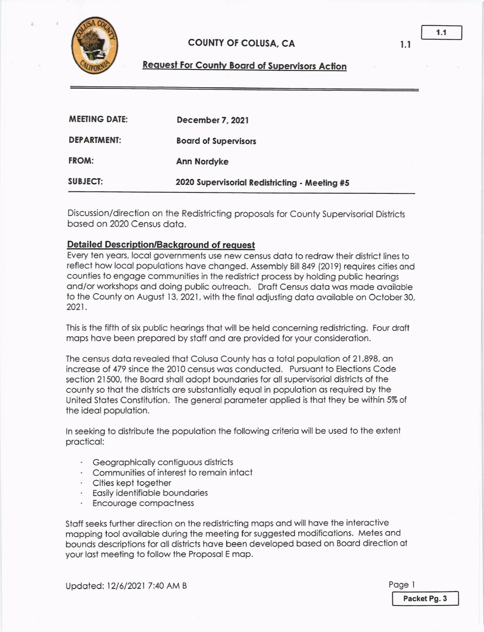

## **COUNTY OF COLUSA, CA**

## **Request For County Board of Supervisors Action**

| <b>MEETING DATE:</b> | December 7, 2021                              |
|----------------------|-----------------------------------------------|
| <b>DEPARTMENT:</b>   | <b>Board of Supervisors</b>                   |
| <b>FROM:</b>         | Ann Nordyke                                   |
| <b>SUBJECT:</b>      | 2020 Supervisorial Redistricting - Meeting #5 |

Discussion/direction on the Redistricting proposals for County Supervisorial Districts based on 2020 Census data

## **Detailed Description/Background of request**

Every ten years, local governments use new census data to redraw their district lines to reflect how local populations have changed. Assembly Bill 849 (2019) requires cities and counties to engage communities in the redistrict process by holding public hearings and/or workshops and doing public outreach. Draft Census data was made available to the County on August 13, 2021, with the final adjusting data available on October 30, 2021.

This is the fifth of six public hearings that will be held concerning redistricting. Four draft maps have been prepared by staff and are provided for your consideration.

The census data revealed that Colusa County has a total population of 21,898, an increase of 479 since the 2010 census was conducted. Pursuant to Elections Code section 21500, the Board shall adopt boundaries for all supervisorial districts of the county so that the districts are substantially equal in population as required by the United States Constitution. The general parameter applied is that they be within 5% of the ideal population.

In seeking to distribute the population the following criteria will be used to the extent practical:

- · Geographically contiguous districts
- Communities of interest to remain intact
- · Cities kept together
- Easily identifiable boundaries
- Encourage compactness

Staff seeks further direction on the redistricting maps and will have the interactive mapping tool available during the meeting for suggested modifications. Metes and bounds descriptions for all districts have been developed based on Board direction at your last meeting to follow the Proposal E map.

Updated: 12/6/2021 7:40 AM B

Page 1 Packet Pg. 3

 $1.1$ 

 $1.1$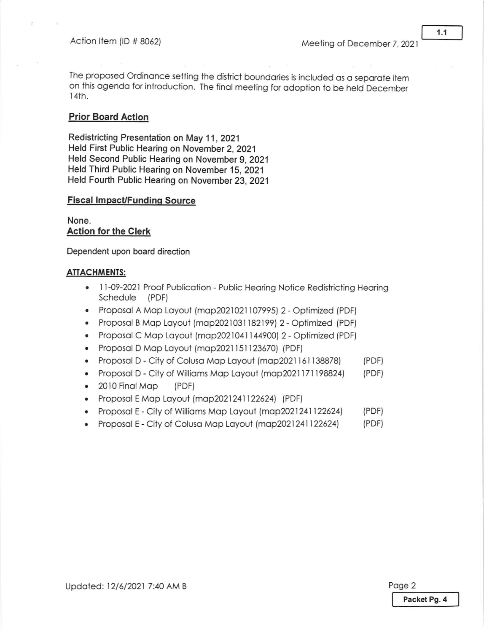The proposed Ordinance setting the district boundaries is included as a separate item on this agenda for introduction. The final meeting for adoption to be held December 141h.

## **Prior Board Action**

Redistricting Presentation on May 11 , 2021 Held First Public Hearing on November 2, 202'1 Held Second Public Hearing on November 9, 2021 Held Third Public Hearing on November 15,2021 Held Fourth Public Hearing on November 23, 2021

#### **Fiscal Impact/Funding Source**

None. Action for the Clerk

Dependent upon board direction

#### **ATTACHMENTS:**

- 11-09-2021 Proof Publication Public Hearing Notice Redistricting Hearing Schedule (PDF)
- Proposal A Map Layout (map2021021107995) 2 Optimized (PDF)
- Proposal B Map Layout (map2021031182199) 2 Optimized (PDF)
- Proposal C Map Layout (map2021041144900) 2 Optimized (PDF)
- Proposal D Map Layout (map2021151123670) (PDF)
- . Proposol D City of Coluso Mop Loyout (mop202l 151138878) (PDF)
- . Proposol D City of Willioms Mop Loyoul (mop202117119824) (PDF)
- . 2010 Finol Mop (PDF)
- Proposal E Map Layout (map2021241122624) (PDF)
- Proposal E City of Williams Map Layout (map2021241122624) (PDF)
- Proposal E City of Colusa Map Layout (map2021241122624) (PDF)

Updated: 12/6/2021 7:40 AM B Poge 2